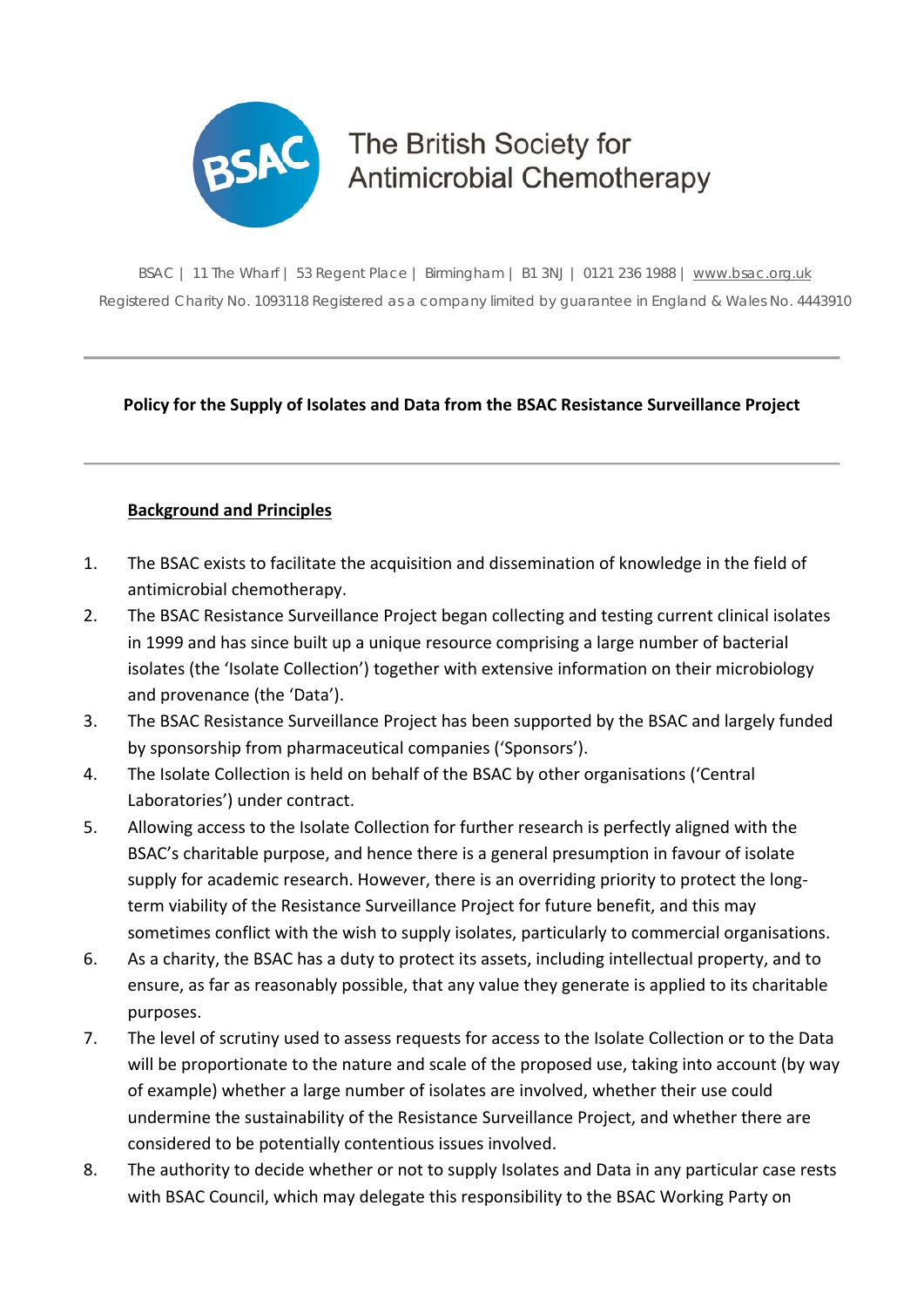

# The British Society for **Antimicrobial Chemotherapy**

BSAC | 11 The Wharf | 53 Regent Place | Birmingham | B1 3NJ | 0121 236 1988 | www.bsac.org.uk Registered Charity No. 1093118 Registered as a company limited by guarantee in England & Wales No. 4443910

# **Policy for the Supply of Isolates and Data from the BSAC Resistance Surveillance Project**

#### **Background and Principles**

- 1. The BSAC exists to facilitate the acquisition and dissemination of knowledge in the field of antimicrobial chemotherapy.
- 2. The BSAC Resistance Surveillance Project began collecting and testing current clinical isolates in 1999 and has since built up a unique resource comprising a large number of bacterial isolates (the 'Isolate Collection') together with extensive information on their microbiology and provenance (the 'Data').
- 3. The BSAC Resistance Surveillance Project has been supported by the BSAC and largely funded by sponsorship from pharmaceutical companies ('Sponsors').
- 4. The Isolate Collection is held on behalf of the BSAC by other organisations ('Central Laboratories') under contract.
- 5. Allowing access to the Isolate Collection for further research is perfectly aligned with the BSAC's charitable purpose, and hence there is a general presumption in favour of isolate supply for academic research. However, there is an overriding priority to protect the longterm viability of the Resistance Surveillance Project for future benefit, and this may sometimes conflict with the wish to supply isolates, particularly to commercial organisations.
- 6. As a charity, the BSAC has a duty to protect its assets, including intellectual property, and to ensure, as far as reasonably possible, that any value they generate is applied to its charitable purposes.
- 7. The level of scrutiny used to assess requests for access to the Isolate Collection or to the Data will be proportionate to the nature and scale of the proposed use, taking into account (by way of example) whether a large number of isolates are involved, whether their use could undermine the sustainability of the Resistance Surveillance Project, and whether there are considered to be potentially contentious issues involved.
- 8. The authority to decide whether or not to supply Isolates and Data in any particular case rests with BSAC Council, which may delegate this responsibility to the BSAC Working Party on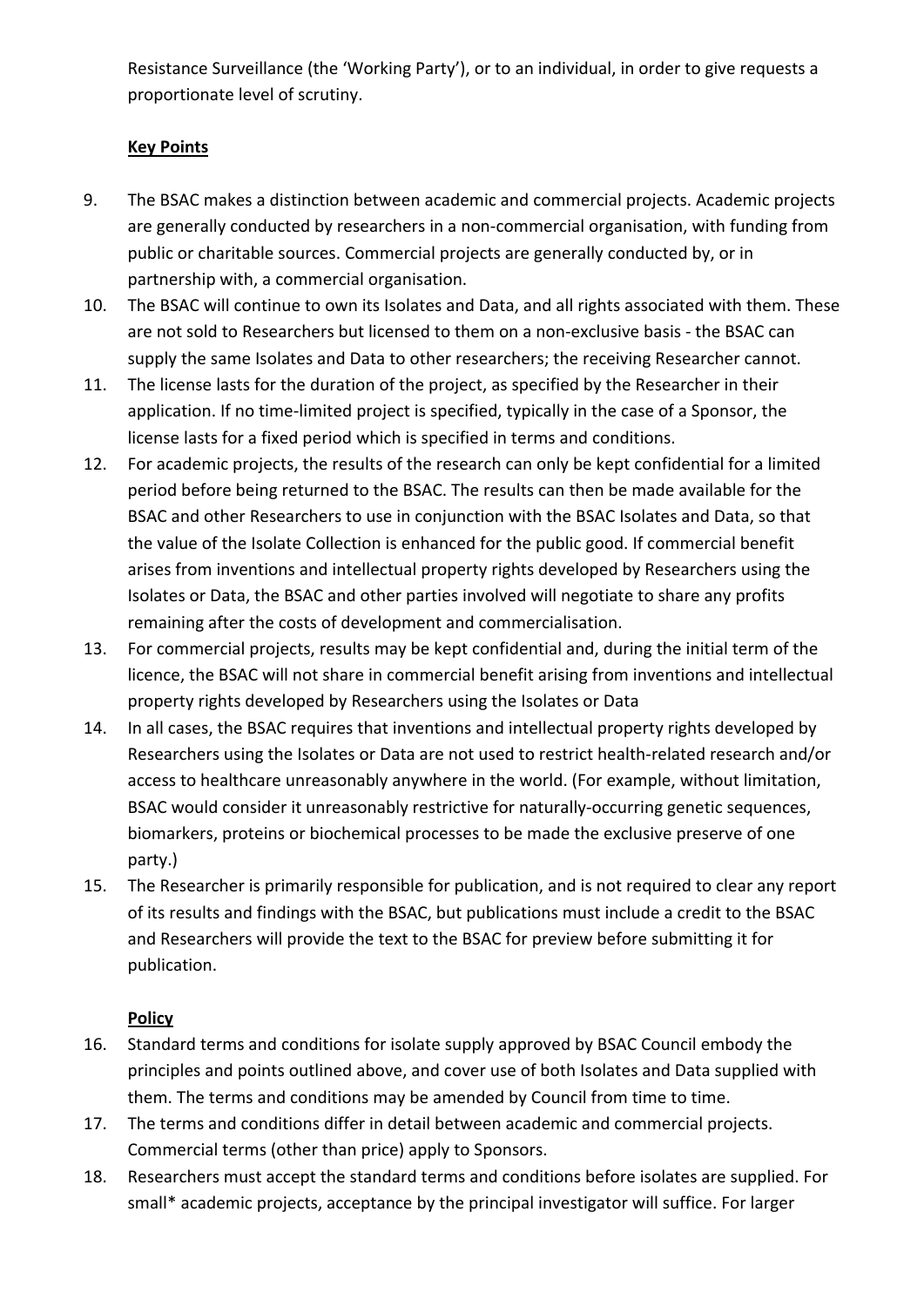Resistance Surveillance (the 'Working Party'), or to an individual, in order to give requests a proportionate level of scrutiny.

#### **Key Points**

- 9. The BSAC makes a distinction between academic and commercial projects. Academic projects are generally conducted by researchers in a non‐commercial organisation, with funding from public or charitable sources. Commercial projects are generally conducted by, or in partnership with, a commercial organisation.
- 10. The BSAC will continue to own its Isolates and Data, and all rights associated with them. These are not sold to Researchers but licensed to them on a non‐exclusive basis ‐ the BSAC can supply the same Isolates and Data to other researchers; the receiving Researcher cannot.
- 11. The license lasts for the duration of the project, as specified by the Researcher in their application. If no time‐limited project is specified, typically in the case of a Sponsor, the license lasts for a fixed period which is specified in terms and conditions.
- 12. For academic projects, the results of the research can only be kept confidential for a limited period before being returned to the BSAC. The results can then be made available for the BSAC and other Researchers to use in conjunction with the BSAC Isolates and Data, so that the value of the Isolate Collection is enhanced for the public good. If commercial benefit arises from inventions and intellectual property rights developed by Researchers using the Isolates or Data, the BSAC and other parties involved will negotiate to share any profits remaining after the costs of development and commercialisation.
- 13. For commercial projects, results may be kept confidential and, during the initial term of the licence, the BSAC will not share in commercial benefit arising from inventions and intellectual property rights developed by Researchers using the Isolates or Data
- 14. In all cases, the BSAC requires that inventions and intellectual property rights developed by Researchers using the Isolates or Data are not used to restrict health‐related research and/or access to healthcare unreasonably anywhere in the world. (For example, without limitation, BSAC would consider it unreasonably restrictive for naturally‐occurring genetic sequences, biomarkers, proteins or biochemical processes to be made the exclusive preserve of one party.)
- 15. The Researcher is primarily responsible for publication, and is not required to clear any report of its results and findings with the BSAC, but publications must include a credit to the BSAC and Researchers will provide the text to the BSAC for preview before submitting it for publication.

# **Policy**

- 16. Standard terms and conditions for isolate supply approved by BSAC Council embody the principles and points outlined above, and cover use of both Isolates and Data supplied with them. The terms and conditions may be amended by Council from time to time.
- 17. The terms and conditions differ in detail between academic and commercial projects. Commercial terms (other than price) apply to Sponsors.
- 18. Researchers must accept the standard terms and conditions before isolates are supplied. For small\* academic projects, acceptance by the principal investigator will suffice. For larger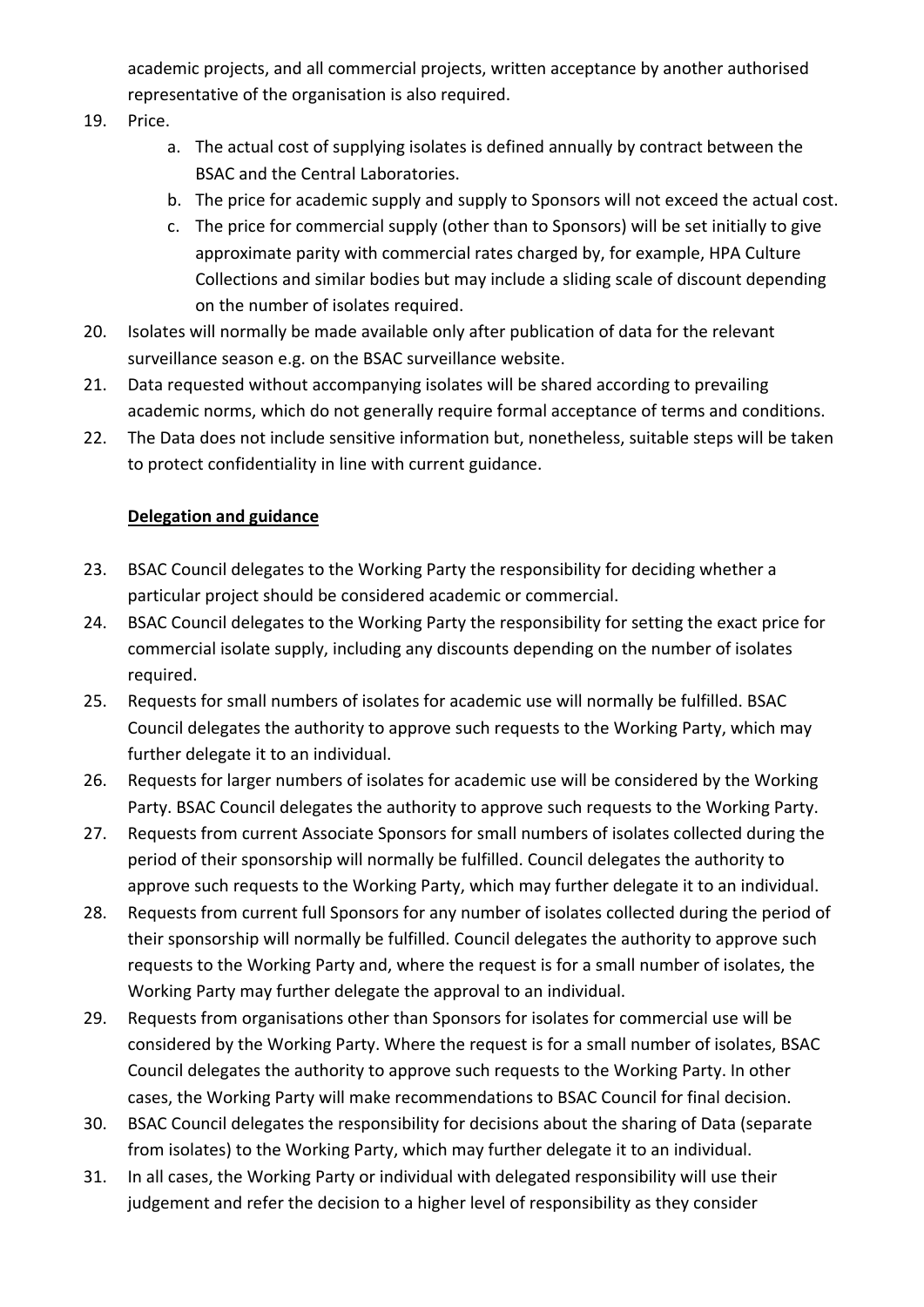academic projects, and all commercial projects, written acceptance by another authorised representative of the organisation is also required.

- 19. Price.
	- a. The actual cost of supplying isolates is defined annually by contract between the BSAC and the Central Laboratories.
	- b. The price for academic supply and supply to Sponsors will not exceed the actual cost.
	- c. The price for commercial supply (other than to Sponsors) will be set initially to give approximate parity with commercial rates charged by, for example, HPA Culture Collections and similar bodies but may include a sliding scale of discount depending on the number of isolates required.
- 20. Isolates will normally be made available only after publication of data for the relevant surveillance season e.g. on the BSAC surveillance website.
- 21. Data requested without accompanying isolates will be shared according to prevailing academic norms, which do not generally require formal acceptance of terms and conditions.
- 22. The Data does not include sensitive information but, nonetheless, suitable steps will be taken to protect confidentiality in line with current guidance.

# **Delegation and guidance**

- 23. BSAC Council delegates to the Working Party the responsibility for deciding whether a particular project should be considered academic or commercial.
- 24. BSAC Council delegates to the Working Party the responsibility for setting the exact price for commercial isolate supply, including any discounts depending on the number of isolates required.
- 25. Requests for small numbers of isolates for academic use will normally be fulfilled. BSAC Council delegates the authority to approve such requests to the Working Party, which may further delegate it to an individual.
- 26. Requests for larger numbers of isolates for academic use will be considered by the Working Party. BSAC Council delegates the authority to approve such requests to the Working Party.
- 27. Requests from current Associate Sponsors for small numbers of isolates collected during the period of their sponsorship will normally be fulfilled. Council delegates the authority to approve such requests to the Working Party, which may further delegate it to an individual.
- 28. Requests from current full Sponsors for any number of isolates collected during the period of their sponsorship will normally be fulfilled. Council delegates the authority to approve such requests to the Working Party and, where the request is for a small number of isolates, the Working Party may further delegate the approval to an individual.
- 29. Requests from organisations other than Sponsors for isolates for commercial use will be considered by the Working Party. Where the request is for a small number of isolates, BSAC Council delegates the authority to approve such requests to the Working Party. In other cases, the Working Party will make recommendations to BSAC Council for final decision.
- 30. BSAC Council delegates the responsibility for decisions about the sharing of Data (separate from isolates) to the Working Party, which may further delegate it to an individual.
- 31. In all cases, the Working Party or individual with delegated responsibility will use their judgement and refer the decision to a higher level of responsibility as they consider